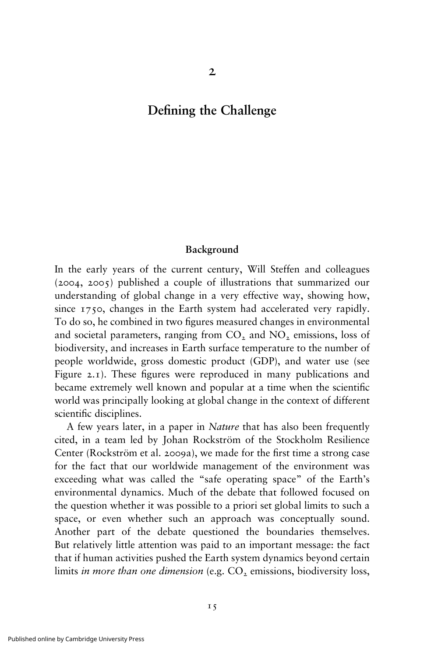## **Defining the Challenge**

2

## **Background**

In the early years of the current century, Will Steffen and colleagues (2004, 2005) published a couple of illustrations that summarized our understanding of global change in a very effective way, showing how, since 1750, changes in the Earth system had accelerated very rapidly. To do so, he combined in two figures measured changes in environmental and societal parameters, ranging from  $CO<sub>2</sub>$  and  $NO<sub>2</sub>$  emissions, loss of biodiversity, and increases in Earth surface temperature to the number of people worldwide, gross domestic product (GDP), and water use (see Figure 2.1). These figures were reproduced in many publications and became extremely well known and popular at a time when the scientific world was principally looking at global change in the context of different scientific disciplines.

A few years later, in a paper in *Nature* that has also been frequently cited, in a team led by Johan Rockström of the Stockholm Resilience Center (Rockström et al. 2009a), we made for the first time a strong case for the fact that our worldwide management of the environment was exceeding what was called the "safe operating space" of the Earth's environmental dynamics. Much of the debate that followed focused on the question whether it was possible to a priori set global limits to such a space, or even whether such an approach was conceptually sound. Another part of the debate questioned the boundaries themselves. But relatively little attention was paid to an important message: the fact that if human activities pushed the Earth system dynamics beyond certain limits *in more than one dimension* (e.g. CO<sub>2</sub> emissions, biodiversity loss,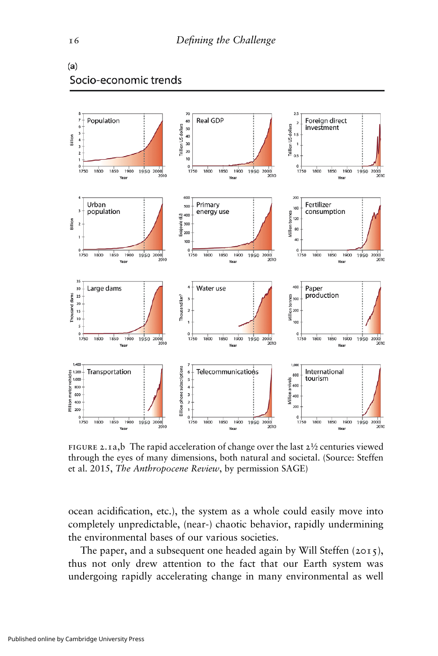



FIGURE 2.1a,b The rapid acceleration of change over the last  $2\frac{1}{2}$  centuries viewed through the eyes of many dimensions, both natural and societal. (Source: Steffen et al. 2015, *The Anthropocene Review*, by permission SAGE)

ocean acidification, etc.), the system as a whole could easily move into completely unpredictable, (near-) chaotic behavior, rapidly undermining the environmental bases of our various societies.

The paper, and a subsequent one headed again by Will Steffen (2015), thus not only drew attention to the fact that our Earth system was undergoing rapidly accelerating change in many environmental as well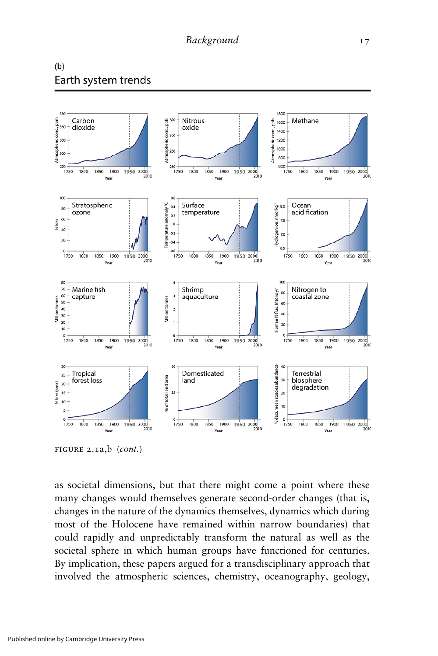



figure 2.1a,b (*cont.*)

as societal dimensions, but that there might come a point where these many changes would themselves generate second-order changes (that is, changes in the nature of the dynamics themselves, dynamics which during most of the Holocene have remained within narrow boundaries) that could rapidly and unpredictably transform the natural as well as the societal sphere in which human groups have functioned for centuries. By implication, these papers argued for a transdisciplinary approach that involved the atmospheric sciences, chemistry, oceanography, geology,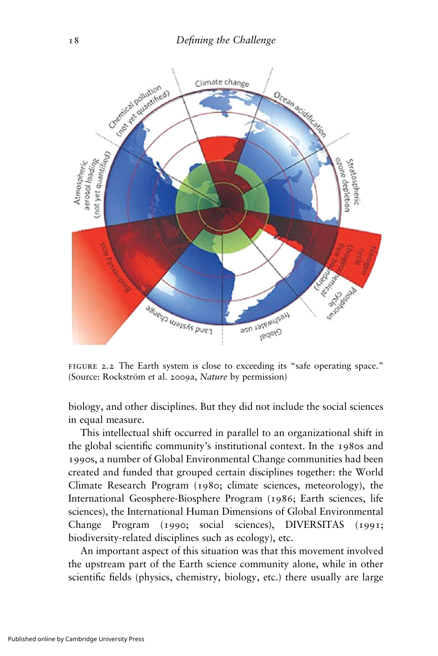

FIGURE 2.2 The Earth system is close to exceeding its "safe operating space." (Source: Rockström et al. 2009a, *Nature* by permission)

biology, and other disciplines. But they did not include the social sciences in equal measure.

This intellectual shift occurred in parallel to an organizational shift in the global scientific community's institutional context. In the 1980s and 1990s, a number of Global Environmental Change communities had been created and funded that grouped certain disciplines together: the World Climate Research Program (1980; climate sciences, meteorology), the International Geosphere-Biosphere Program (1986; Earth sciences, life sciences), the International Human Dimensions of Global Environmental Change Program (1990; social sciences), DIVERSITAS (1991; biodiversity-related disciplines such as ecology), etc.

An important aspect of this situation was that this movement involved the upstream part of the Earth science community alone, while in other scientific fields (physics, chemistry, biology, etc.) there usually are large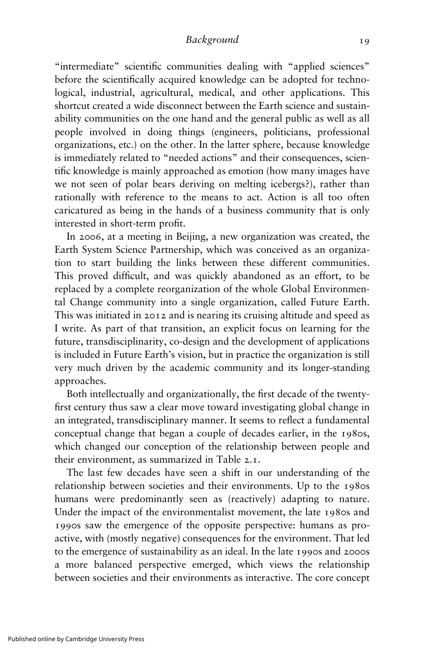"intermediate" scientific communities dealing with "applied sciences" before the scientifically acquired knowledge can be adopted for technological, industrial, agricultural, medical, and other applications. This shortcut created a wide disconnect between the Earth science and sustainability communities on the one hand and the general public as well as all people involved in doing things (engineers, politicians, professional organizations, etc.) on the other. In the latter sphere, because knowledge is immediately related to "needed actions" and their consequences, scientific knowledge is mainly approached as emotion (how many images have we not seen of polar bears deriving on melting icebergs?), rather than rationally with reference to the means to act. Action is all too often caricatured as being in the hands of a business community that is only interested in short-term profit.

In 2006, at a meeting in Beijing, a new organization was created, the Earth System Science Partnership, which was conceived as an organization to start building the links between these different communities. This proved difficult, and was quickly abandoned as an effort, to be replaced by a complete reorganization of the whole Global Environmental Change community into a single organization, called Future Earth. This was initiated in 2012 and is nearing its cruising altitude and speed as I write. As part of that transition, an explicit focus on learning for the future, transdisciplinarity, co-design and the development of applications is included in Future Earth's vision, but in practice the organization is still very much driven by the academic community and its longer-standing approaches.

Both intellectually and organizationally, the first decade of the twentyfirst century thus saw a clear move toward investigating global change in an integrated, transdisciplinary manner. It seems to reflect a fundamental conceptual change that began a couple of decades earlier, in the 1980s, which changed our conception of the relationship between people and their environment, as summarized in Table 2.1.

The last few decades have seen a shift in our understanding of the relationship between societies and their environments. Up to the 1980s humans were predominantly seen as (reactively) adapting to nature. Under the impact of the environmentalist movement, the late 1980s and 1990s saw the emergence of the opposite perspective: humans as proactive, with (mostly negative) consequences for the environment. That led to the emergence of sustainability as an ideal. In the late 1990s and 2000s a more balanced perspective emerged, which views the relationship between societies and their environments as interactive. The core concept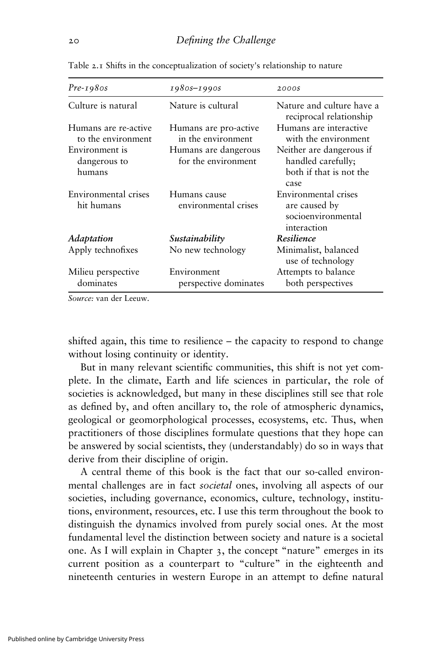| $Pre-198$ 0s                               | 1980s-1990s                                 | 2000S                                                                             |
|--------------------------------------------|---------------------------------------------|-----------------------------------------------------------------------------------|
| Culture is natural                         | Nature is cultural                          | Nature and culture have a<br>reciprocal relationship                              |
| Humans are re-active<br>to the environment | Humans are pro-active<br>in the environment | Humans are interactive<br>with the environment                                    |
| Environment is<br>dangerous to<br>humans   | Humans are dangerous<br>for the environment | Neither are dangerous if<br>handled carefully;<br>both if that is not the<br>case |
| Environmental crises<br>hit humans         | Humans cause<br>environmental crises        | Environmental crises<br>are caused by<br>socioenvironmental<br>interaction        |
| Adaptation                                 | Sustainability                              | Resilience                                                                        |
| Apply technofixes                          | No new technology                           | Minimalist, balanced<br>use of technology                                         |
| Milieu perspective<br>dominates            | Environment<br>perspective dominates        | Attempts to balance<br>both perspectives                                          |

Table 2.1 Shifts in the conceptualization of society's relationship to nature

*Source:* van der Leeuw.

shifted again, this time to resilience – the capacity to respond to change without losing continuity or identity.

But in many relevant scientific communities, this shift is not yet complete. In the climate, Earth and life sciences in particular, the role of societies is acknowledged, but many in these disciplines still see that role as defined by, and often ancillary to, the role of atmospheric dynamics, geological or geomorphological processes, ecosystems, etc. Thus, when practitioners of those disciplines formulate questions that they hope can be answered by social scientists, they (understandably) do so in ways that derive from their discipline of origin.

A central theme of this book is the fact that our so-called environmental challenges are in fact *societal* ones, involving all aspects of our societies, including governance, economics, culture, technology, institutions, environment, resources, etc. I use this term throughout the book to distinguish the dynamics involved from purely social ones. At the most fundamental level the distinction between society and nature is a societal one. As I will explain in Chapter 3, the concept "nature" emerges in its current position as a counterpart to "culture" in the eighteenth and nineteenth centuries in western Europe in an attempt to define natural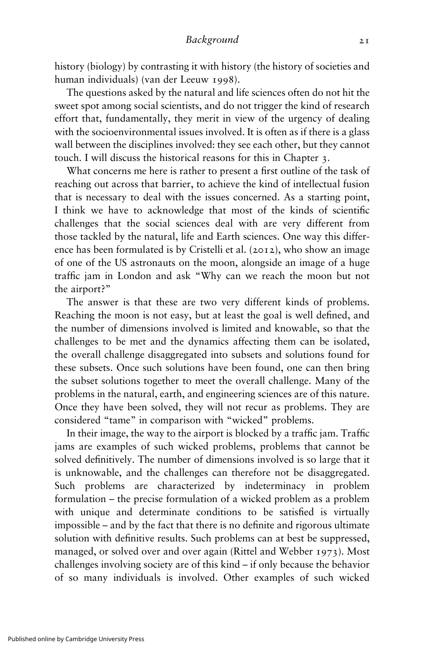history (biology) by contrasting it with history (the history of societies and human individuals) (van der Leeuw 1998).

The questions asked by the natural and life sciences often do not hit the sweet spot among social scientists, and do not trigger the kind of research effort that, fundamentally, they merit in view of the urgency of dealing with the socioenvironmental issues involved. It is often as if there is a glass wall between the disciplines involved: they see each other, but they cannot touch. I will discuss the historical reasons for this in Chapter 3.

What concerns me here is rather to present a first outline of the task of reaching out across that barrier, to achieve the kind of intellectual fusion that is necessary to deal with the issues concerned. As a starting point, I think we have to acknowledge that most of the kinds of scientific challenges that the social sciences deal with are very different from those tackled by the natural, life and Earth sciences. One way this difference has been formulated is by Cristelli et al. (2012), who show an image of one of the US astronauts on the moon, alongside an image of a huge traffic jam in London and ask "Why can we reach the moon but not the airport?"

The answer is that these are two very different kinds of problems. Reaching the moon is not easy, but at least the goal is well defined, and the number of dimensions involved is limited and knowable, so that the challenges to be met and the dynamics affecting them can be isolated, the overall challenge disaggregated into subsets and solutions found for these subsets. Once such solutions have been found, one can then bring the subset solutions together to meet the overall challenge. Many of the problems in the natural, earth, and engineering sciences are of this nature. Once they have been solved, they will not recur as problems. They are considered "tame" in comparison with "wicked" problems.

In their image, the way to the airport is blocked by a traffic jam. Traffic jams are examples of such wicked problems, problems that cannot be solved definitively. The number of dimensions involved is so large that it is unknowable, and the challenges can therefore not be disaggregated. Such problems are characterized by indeterminacy in problem formulation – the precise formulation of a wicked problem as a problem with unique and determinate conditions to be satisfied is virtually impossible – and by the fact that there is no definite and rigorous ultimate solution with definitive results. Such problems can at best be suppressed, managed, or solved over and over again (Rittel and Webber 1973). Most challenges involving society are of this kind – if only because the behavior of so many individuals is involved. Other examples of such wicked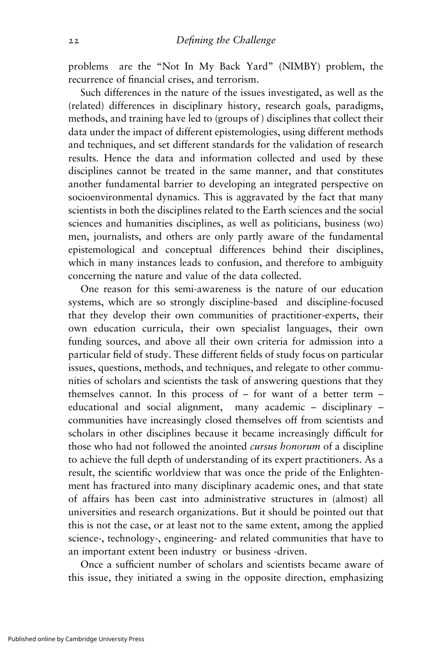problems are the "Not In My Back Yard" (NIMBY) problem, the recurrence of financial crises, and terrorism.

Such differences in the nature of the issues investigated, as well as the (related) differences in disciplinary history, research goals, paradigms, methods, and training have led to (groups of ) disciplines that collect their data under the impact of different epistemologies, using different methods and techniques, and set different standards for the validation of research results. Hence the data and information collected and used by these disciplines cannot be treated in the same manner, and that constitutes another fundamental barrier to developing an integrated perspective on socioenvironmental dynamics. This is aggravated by the fact that many scientists in both the disciplines related to the Earth sciences and the social sciences and humanities disciplines, as well as politicians, business (wo) men, journalists, and others are only partly aware of the fundamental epistemological and conceptual differences behind their disciplines, which in many instances leads to confusion, and therefore to ambiguity concerning the nature and value of the data collected.

One reason for this semi-awareness is the nature of our education systems, which are so strongly discipline-based and discipline-focused that they develop their own communities of practitioner-experts, their own education curricula, their own specialist languages, their own funding sources, and above all their own criteria for admission into a particular field of study. These different fields of study focus on particular issues, questions, methods, and techniques, and relegate to other communities of scholars and scientists the task of answering questions that they themselves cannot. In this process of – for want of a better term – educational and social alignment, many academic – disciplinary – communities have increasingly closed themselves off from scientists and scholars in other disciplines because it became increasingly difficult for those who had not followed the anointed *cursus honorum* of a discipline to achieve the full depth of understanding of its expert practitioners. As a result, the scientific worldview that was once the pride of the Enlightenment has fractured into many disciplinary academic ones, and that state of affairs has been cast into administrative structures in (almost) all universities and research organizations. But it should be pointed out that this is not the case, or at least not to the same extent, among the applied science-, technology-, engineering- and related communities that have to an important extent been industry or business -driven.

Once a sufficient number of scholars and scientists became aware of this issue, they initiated a swing in the opposite direction, emphasizing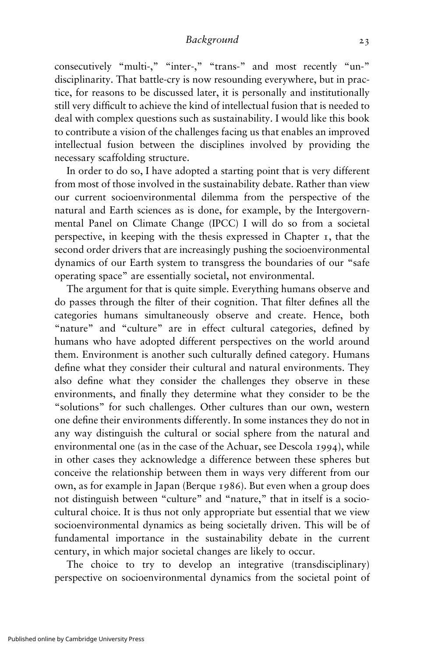consecutively "multi-," "inter-," "trans-" and most recently "un-" disciplinarity. That battle-cry is now resounding everywhere, but in practice, for reasons to be discussed later, it is personally and institutionally still very difficult to achieve the kind of intellectual fusion that is needed to deal with complex questions such as sustainability. I would like this book to contribute a vision of the challenges facing us that enables an improved intellectual fusion between the disciplines involved by providing the necessary scaffolding structure.

In order to do so, I have adopted a starting point that is very different from most of those involved in the sustainability debate. Rather than view our current socioenvironmental dilemma from the perspective of the natural and Earth sciences as is done, for example, by the Intergovernmental Panel on Climate Change (IPCC) I will do so from a societal perspective, in keeping with the thesis expressed in Chapter 1, that the second order drivers that are increasingly pushing the socioenvironmental dynamics of our Earth system to transgress the boundaries of our "safe operating space" are essentially societal, not environmental.

The argument for that is quite simple. Everything humans observe and do passes through the filter of their cognition. That filter defines all the categories humans simultaneously observe and create. Hence, both "nature" and "culture" are in effect cultural categories, defined by humans who have adopted different perspectives on the world around them. Environment is another such culturally defined category. Humans define what they consider their cultural and natural environments. They also define what they consider the challenges they observe in these environments, and finally they determine what they consider to be the "solutions" for such challenges*.* Other cultures than our own, western one define their environments differently. In some instances they do not in any way distinguish the cultural or social sphere from the natural and environmental one (as in the case of the Achuar, see Descola 1994), while in other cases they acknowledge a difference between these spheres but conceive the relationship between them in ways very different from our own, as for example in Japan (Berque 1986). But even when a group does not distinguish between "culture" and "nature," that in itself is a sociocultural choice. It is thus not only appropriate but essential that we view socioenvironmental dynamics as being societally driven. This will be of fundamental importance in the sustainability debate in the current century, in which major societal changes are likely to occur.

The choice to try to develop an integrative (transdisciplinary) perspective on socioenvironmental dynamics from the societal point of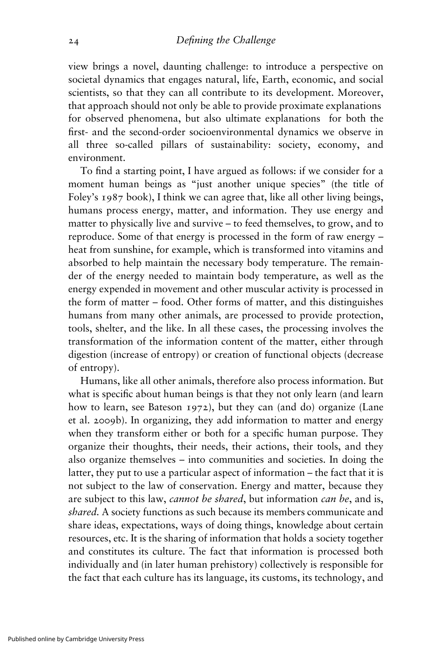view brings a novel, daunting challenge: to introduce a perspective on societal dynamics that engages natural, life, Earth, economic, and social scientists, so that they can all contribute to its development. Moreover, that approach should not only be able to provide proximate explanations for observed phenomena, but also ultimate explanations for both the first- and the second-order socioenvironmental dynamics we observe in all three so-called pillars of sustainability: society, economy, and environment.

To find a starting point, I have argued as follows: if we consider for a moment human beings as "just another unique species" (the title of Foley's 1987 book), I think we can agree that, like all other living beings, humans process energy, matter, and information. They use energy and matter to physically live and survive – to feed themselves, to grow, and to reproduce. Some of that energy is processed in the form of raw energy – heat from sunshine, for example, which is transformed into vitamins and absorbed to help maintain the necessary body temperature. The remainder of the energy needed to maintain body temperature, as well as the energy expended in movement and other muscular activity is processed in the form of matter – food. Other forms of matter, and this distinguishes humans from many other animals, are processed to provide protection, tools, shelter, and the like. In all these cases, the processing involves the transformation of the information content of the matter, either through digestion (increase of entropy) or creation of functional objects (decrease of entropy).

Humans, like all other animals, therefore also process information. But what is specific about human beings is that they not only learn (and learn how to learn, see Bateson 1972), but they can (and do) organize (Lane et al. 2009b). In organizing, they add information to matter and energy when they transform either or both for a specific human purpose. They organize their thoughts, their needs, their actions, their tools, and they also organize themselves – into communities and societies. In doing the latter, they put to use a particular aspect of information – the fact that it is not subject to the law of conservation. Energy and matter, because they are subject to this law, *cannot be shared*, but information *can be*, and is, *shared.* A society functions as such because its members communicate and share ideas, expectations, ways of doing things, knowledge about certain resources, etc. It is the sharing of information that holds a society together and constitutes its culture. The fact that information is processed both individually and (in later human prehistory) collectively is responsible for the fact that each culture has its language, its customs, its technology, and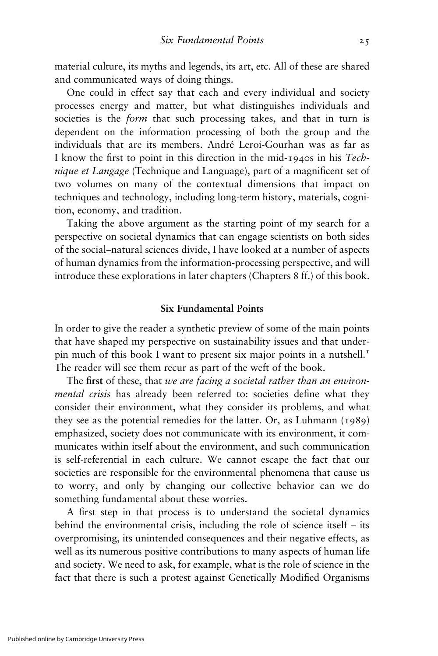material culture, its myths and legends, its art, etc. All of these are shared and communicated ways of doing things.

One could in effect say that each and every individual and society processes energy and matter, but what distinguishes individuals and societies is the *form* that such processing takes, and that in turn is dependent on the information processing of both the group and the individuals that are its members. André Leroi-Gourhan was as far as I know the first to point in this direction in the mid-1940s in his *Technique et Langage* (Technique and Language), part of a magnificent set of two volumes on many of the contextual dimensions that impact on techniques and technology, including long-term history, materials, cognition, economy, and tradition.

Taking the above argument as the starting point of my search for a perspective on societal dynamics that can engage scientists on both sides of the social–natural sciences divide, I have looked at a number of aspects of human dynamics from the information-processing perspective, and will introduce these explorations in later chapters (Chapters 8 ff.) of this book.

## **Six Fundamental Points**

In order to give the reader a synthetic preview of some of the main points that have shaped my perspective on sustainability issues and that underpin much of this book I want to present six major points in a nutshell.<sup>1</sup> The reader will see them recur as part of the weft of the book.

The **first** of these, that *we are facing a societal rather than an environmental crisis* has already been referred to: societies define what they consider their environment, what they consider its problems, and what they see as the potential remedies for the latter. Or, as Luhmann (1989) emphasized, society does not communicate with its environment, it communicates within itself about the environment, and such communication is self-referential in each culture. We cannot escape the fact that our societies are responsible for the environmental phenomena that cause us to worry, and only by changing our collective behavior can we do something fundamental about these worries.

A first step in that process is to understand the societal dynamics behind the environmental crisis, including the role of science itself – its overpromising, its unintended consequences and their negative effects, as well as its numerous positive contributions to many aspects of human life and society. We need to ask, for example, what is the role of science in the fact that there is such a protest against Genetically Modified Organisms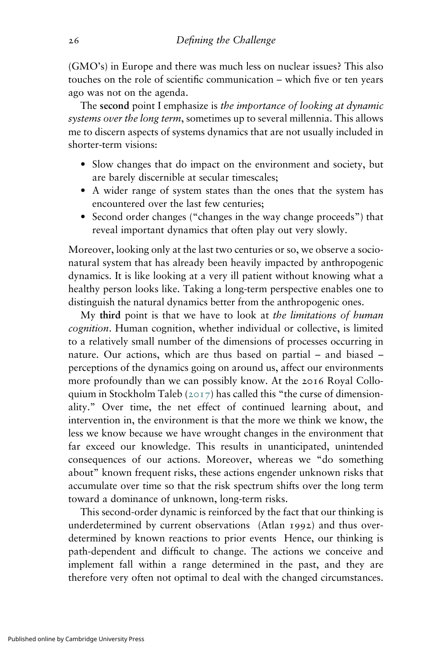(GMO's) in Europe and there was much less on nuclear issues? This also touches on the role of scientific communication – which five or ten years ago was not on the agenda.

The **second** point I emphasize is *the importance of looking at dynamic systems over the long term*, sometimes up to several millennia. This allows me to discern aspects of systems dynamics that are not usually included in shorter-term visions:

- Slow changes that do impact on the environment and society, but are barely discernible at secular timescales;
- A wider range of system states than the ones that the system has encountered over the last few centuries;
- Second order changes ("changes in the way change proceeds") that reveal important dynamics that often play out very slowly.

Moreover, looking only at the last two centuries or so, we observe a socionatural system that has already been heavily impacted by anthropogenic dynamics. It is like looking at a very ill patient without knowing what a healthy person looks like. Taking a long-term perspective enables one to distinguish the natural dynamics better from the anthropogenic ones.

My **third** point is that we have to look at *the limitations of human cognition*. Human cognition, whether individual or collective, is limited to a relatively small number of the dimensions of processes occurring in nature. Our actions, which are thus based on partial – and biased – perceptions of the dynamics going on around us, affect our environments more profoundly than we can possibly know. At the 2016 Royal Colloquium in Stockholm Taleb ([2017](http://fragility/#tbl_bib1_ref_386_x388)) has called this "the curse of dimensionality." Over time, the net effect of continued learning about, and intervention in, the environment is that the more we think we know, the less we know because we have wrought changes in the environment that far exceed our knowledge. This results in unanticipated, unintended consequences of our actions. Moreover, whereas we "do something about" known frequent risks, these actions engender unknown risks that accumulate over time so that the risk spectrum shifts over the long term toward a dominance of unknown, long-term risks.

This second-order dynamic is reinforced by the fact that our thinking is underdetermined by current observations (Atlan 1992) and thus overdetermined by known reactions to prior events Hence, our thinking is path-dependent and difficult to change. The actions we conceive and implement fall within a range determined in the past, and they are therefore very often not optimal to deal with the changed circumstances.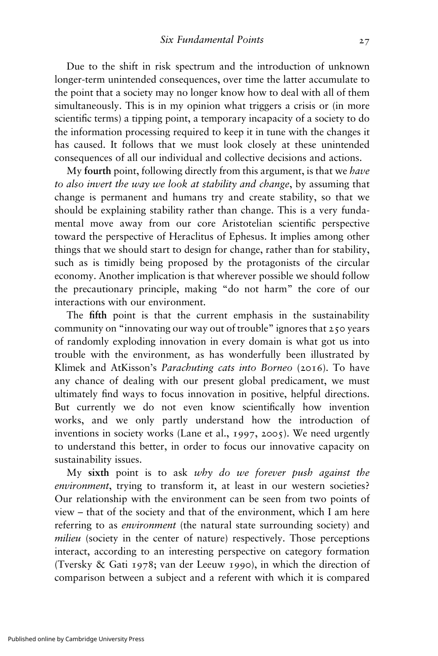Due to the shift in risk spectrum and the introduction of unknown longer-term unintended consequences, over time the latter accumulate to the point that a society may no longer know how to deal with all of them simultaneously. This is in my opinion what triggers a crisis or (in more scientific terms) a tipping point, a temporary incapacity of a society to do the information processing required to keep it in tune with the changes it has caused. It follows that we must look closely at these unintended consequences of all our individual and collective decisions and actions.

My **fourth** point, following directly from this argument, is that we *have to also invert the way we look at stability and change*, by assuming that change is permanent and humans try and create stability, so that we should be explaining stability rather than change. This is a very fundamental move away from our core Aristotelian scientific perspective toward the perspective of Heraclitus of Ephesus. It implies among other things that we should start to design for change, rather than for stability, such as is timidly being proposed by the protagonists of the circular economy. Another implication is that wherever possible we should follow the precautionary principle, making "do not harm" the core of our interactions with our environment.

The **fifth** point is that the current emphasis in the sustainability community on "innovating our way out of trouble" ignores that 250 years of randomly exploding innovation in every domain is what got us into trouble with the environment*,* as has wonderfully been illustrated by Klimek and AtKisson's *Parachuting cats into Borneo* (2016). To have any chance of dealing with our present global predicament, we must ultimately find ways to focus innovation in positive, helpful directions. But currently we do not even know scientifically how invention works, and we only partly understand how the introduction of inventions in society works (Lane et al., 1997, 2005). We need urgently to understand this better, in order to focus our innovative capacity on sustainability issues.

My **sixth** point is to ask *why do we forever push against the environment*, trying to transform it, at least in our western societies? Our relationship with the environment can be seen from two points of view – that of the society and that of the environment, which I am here referring to as *environment* (the natural state surrounding society) and *milieu* (society in the center of nature) respectively. Those perceptions interact, according to an interesting perspective on category formation (Tversky & Gati 1978; van der Leeuw 1990), in which the direction of comparison between a subject and a referent with which it is compared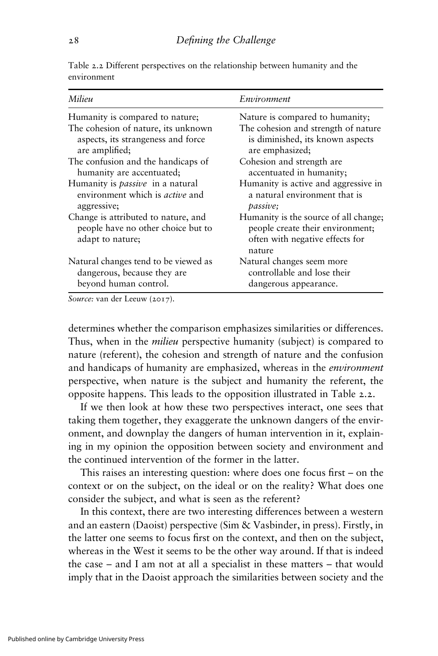| Milieu                                                                                        | Environment                                                                                                            |
|-----------------------------------------------------------------------------------------------|------------------------------------------------------------------------------------------------------------------------|
| Humanity is compared to nature;                                                               | Nature is compared to humanity;                                                                                        |
| The cohesion of nature, its unknown                                                           | The cohesion and strength of nature                                                                                    |
| aspects, its strangeness and force                                                            | is diminished, its known aspects                                                                                       |
| are amplified;                                                                                | are emphasized;                                                                                                        |
| The confusion and the handicaps of                                                            | Cohesion and strength are                                                                                              |
| humanity are accentuated;                                                                     | accentuated in humanity;                                                                                               |
| Humanity is <i>passive</i> in a natural                                                       | Humanity is active and aggressive in                                                                                   |
| environment which is <i>active</i> and                                                        | a natural environment that is                                                                                          |
| aggressive;                                                                                   | passive;                                                                                                               |
| Change is attributed to nature, and<br>people have no other choice but to<br>adapt to nature; | Humanity is the source of all change;<br>people create their environment;<br>often with negative effects for<br>nature |
| Natural changes tend to be viewed as                                                          | Natural changes seem more                                                                                              |
| dangerous, because they are                                                                   | controllable and lose their                                                                                            |
| beyond human control.                                                                         | dangerous appearance.                                                                                                  |

Table 2.2 Different perspectives on the relationship between humanity and the environment

*Source:* van der Leeuw (2017).

determines whether the comparison emphasizes similarities or differences. Thus, when in the *milieu* perspective humanity (subject) is compared to nature (referent), the cohesion and strength of nature and the confusion and handicaps of humanity are emphasized, whereas in the *environment* perspective, when nature is the subject and humanity the referent, the opposite happens. This leads to the opposition illustrated in Table 2.2.

If we then look at how these two perspectives interact, one sees that taking them together, they exaggerate the unknown dangers of the environment, and downplay the dangers of human intervention in it, explaining in my opinion the opposition between society and environment and the continued intervention of the former in the latter.

This raises an interesting question: where does one focus first – on the context or on the subject, on the ideal or on the reality? What does one consider the subject, and what is seen as the referent?

In this context, there are two interesting differences between a western and an eastern (Daoist) perspective (Sim & Vasbinder, in press). Firstly, in the latter one seems to focus first on the context, and then on the subject, whereas in the West it seems to be the other way around. If that is indeed the case – and I am not at all a specialist in these matters – that would imply that in the Daoist approach the similarities between society and the